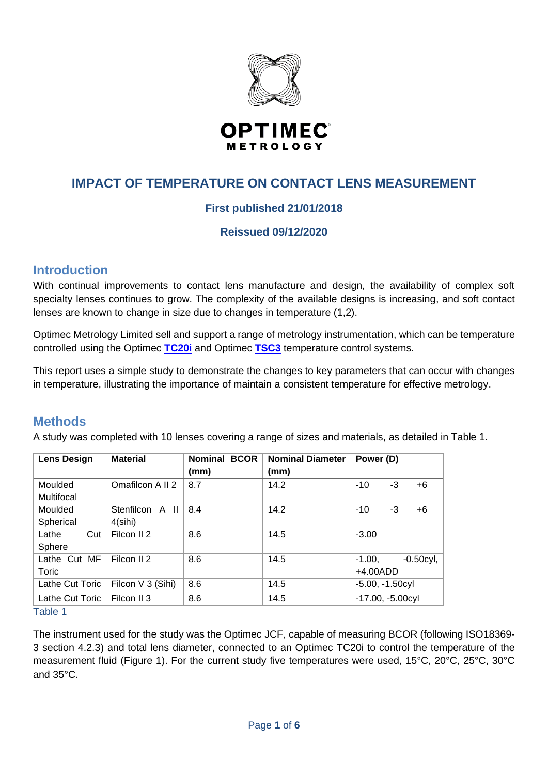

# **IMPACT OF TEMPERATURE ON CONTACT LENS MEASUREMENT**

## **First published 21/01/2018**

#### **Reissued 09/12/2020**

## **Introduction**

With continual improvements to contact lens manufacture and design, the availability of complex soft specialty lenses continues to grow. The complexity of the available designs is increasing, and soft contact lenses are known to change in size due to changes in temperature (1,2).

Optimec Metrology Limited sell and support a range of metrology instrumentation, which can be temperature controlled using the Optimec **[TC20i](https://www.optimecmetrology.com/products/optimec-tc20i/)** and Optimec **[TSC3](https://www.optimecmetrology.com/products/optimec-tsc3/)** temperature control systems.

This report uses a simple study to demonstrate the changes to key parameters that can occur with changes in temperature, illustrating the importance of maintain a consistent temperature for effective metrology.

## **Methods**

A study was completed with 10 lenses covering a range of sizes and materials, as detailed in Table 1.

| <b>Lens Design</b> | <b>Material</b>        | <b>Nominal BCOR</b><br>(mm) | <b>Nominal Diameter</b><br>(mm) | Power (D)           |      |              |
|--------------------|------------------------|-----------------------------|---------------------------------|---------------------|------|--------------|
| Moulded            | Omafilcon A II 2       | 8.7                         | 14.2                            | $-10$               | $-3$ | $+6$         |
| Multifocal         |                        |                             |                                 |                     |      |              |
| Moulded            | Stenfilcon A II        | 8.4                         | 14.2                            | $-10$               | $-3$ | $+6$         |
| Spherical          | 4(sihi)                |                             |                                 |                     |      |              |
| Cut<br>Lathe       | Filcon II <sub>2</sub> | 8.6                         | 14.5                            | $-3.00$             |      |              |
| Sphere             |                        |                             |                                 |                     |      |              |
| Lathe Cut MF       | Filcon II <sub>2</sub> | 8.6                         | 14.5                            | $-1.00.$            |      | $-0.50$ cyl, |
| Toric              |                        |                             |                                 | $+4.00$ ADD         |      |              |
| Lathe Cut Toric    | Filcon V 3 (Sihi)      | 8.6                         | 14.5                            | $-5.00, -1.50$ cyl  |      |              |
| Lathe Cut Toric    | Filcon II 3            | 8.6                         | 14.5                            | $-17.00, -5.00$ cyl |      |              |

Table 1

The instrument used for the study was the Optimec JCF, capable of measuring BCOR (following ISO18369- 3 section 4.2.3) and total lens diameter, connected to an Optimec TC20i to control the temperature of the measurement fluid (Figure 1). For the current study five temperatures were used, 15°C, 20°C, 25°C, 30°C and 35°C.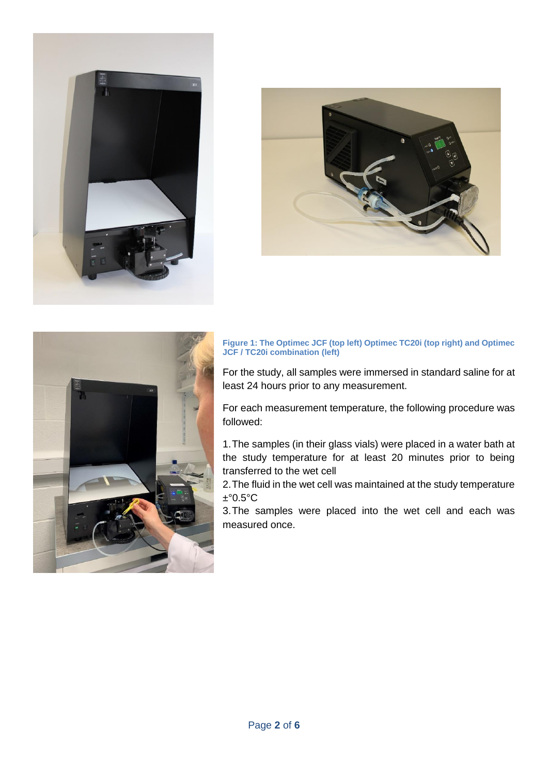





#### **Figure 1: The Optimec JCF (top left) Optimec TC20i (top right) and Optimec JCF / TC20i combination (left)**

For the study, all samples were immersed in standard saline for at least 24 hours prior to any measurement.

For each measurement temperature, the following procedure was followed:

1.The samples (in their glass vials) were placed in a water bath at the study temperature for at least 20 minutes prior to being transferred to the wet cell

2.The fluid in the wet cell was maintained at the study temperature  $±°0.5°C$ 

3.The samples were placed into the wet cell and each was measured once.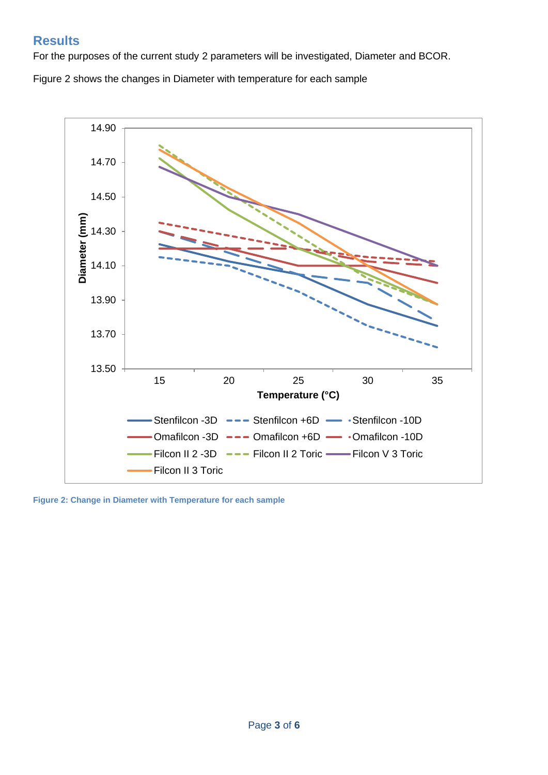# **Results**

For the purposes of the current study 2 parameters will be investigated, Diameter and BCOR.

Figure 2 shows the changes in Diameter with temperature for each sample



**Figure 2: Change in Diameter with Temperature for each sample**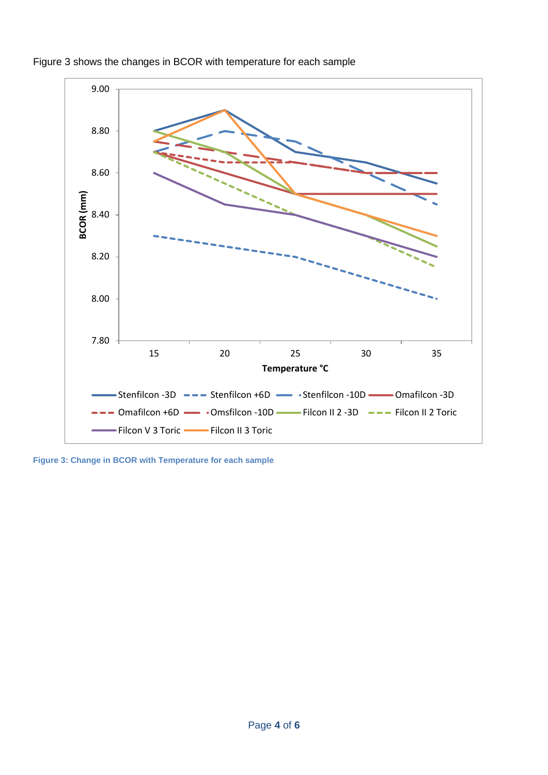

Figure 3 shows the changes in BCOR with temperature for each sample

**Figure 3: Change in BCOR with Temperature for each sample**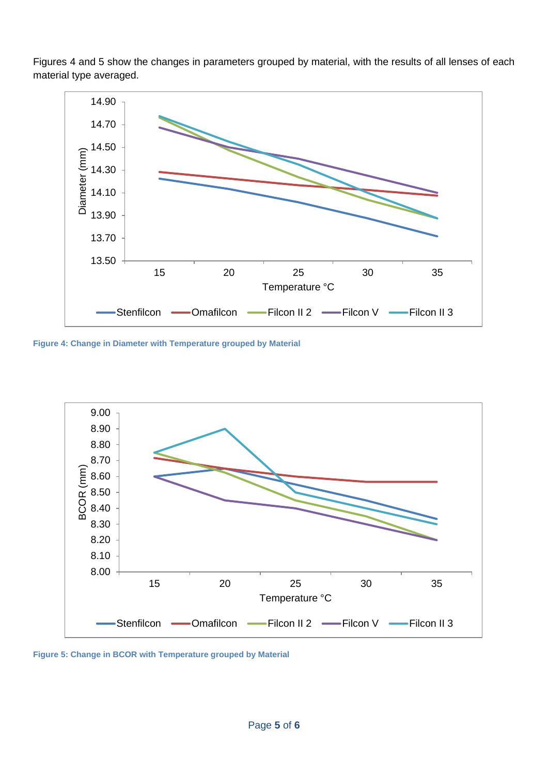Figures 4 and 5 show the changes in parameters grouped by material, with the results of all lenses of each material type averaged.



**Figure 4: Change in Diameter with Temperature grouped by Material**



**Figure 5: Change in BCOR with Temperature grouped by Material**